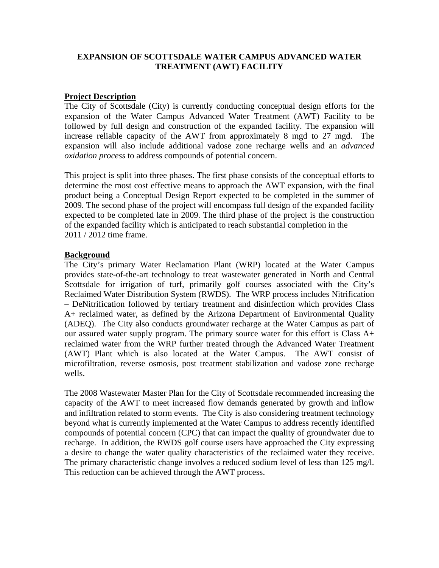## **EXPANSION OF SCOTTSDALE WATER CAMPUS ADVANCED WATER TREATMENT (AWT) FACILITY**

## **Project Description**

The City of Scottsdale (City) is currently conducting conceptual design efforts for the expansion of the Water Campus Advanced Water Treatment (AWT) Facility to be followed by full design and construction of the expanded facility. The expansion will increase reliable capacity of the AWT from approximately 8 mgd to 27 mgd. The expansion will also include additional vadose zone recharge wells and an *advanced oxidation process* to address compounds of potential concern.

This project is split into three phases. The first phase consists of the conceptual efforts to determine the most cost effective means to approach the AWT expansion, with the final product being a Conceptual Design Report expected to be completed in the summer of 2009. The second phase of the project will encompass full design of the expanded facility expected to be completed late in 2009. The third phase of the project is the construction of the expanded facility which is anticipated to reach substantial completion in the 2011 / 2012 time frame.

## **Background**

The City's primary Water Reclamation Plant (WRP) located at the Water Campus provides state-of-the-art technology to treat wastewater generated in North and Central Scottsdale for irrigation of turf, primarily golf courses associated with the City's Reclaimed Water Distribution System (RWDS). The WRP process includes Nitrification – DeNitrification followed by tertiary treatment and disinfection which provides Class A+ reclaimed water, as defined by the Arizona Department of Environmental Quality (ADEQ). The City also conducts groundwater recharge at the Water Campus as part of our assured water supply program. The primary source water for this effort is Class A+ reclaimed water from the WRP further treated through the Advanced Water Treatment (AWT) Plant which is also located at the Water Campus. The AWT consist of microfiltration, reverse osmosis, post treatment stabilization and vadose zone recharge wells.

The 2008 Wastewater Master Plan for the City of Scottsdale recommended increasing the capacity of the AWT to meet increased flow demands generated by growth and inflow and infiltration related to storm events. The City is also considering treatment technology beyond what is currently implemented at the Water Campus to address recently identified compounds of potential concern (CPC) that can impact the quality of groundwater due to recharge. In addition, the RWDS golf course users have approached the City expressing a desire to change the water quality characteristics of the reclaimed water they receive. The primary characteristic change involves a reduced sodium level of less than 125 mg/l. This reduction can be achieved through the AWT process.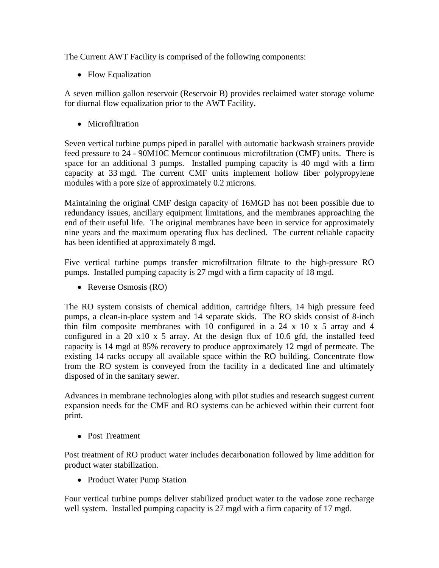The Current AWT Facility is comprised of the following components:

• Flow Equalization

A seven million gallon reservoir (Reservoir B) provides reclaimed water storage volume for diurnal flow equalization prior to the AWT Facility.

• Microfiltration

Seven vertical turbine pumps piped in parallel with automatic backwash strainers provide feed pressure to 24 - 90M10C Memcor continuous microfiltration (CMF) units. There is space for an additional 3 pumps. Installed pumping capacity is 40 mgd with a firm capacity at 33 mgd. The current CMF units implement hollow fiber polypropylene modules with a pore size of approximately 0.2 microns.

Maintaining the original CMF design capacity of 16MGD has not been possible due to redundancy issues, ancillary equipment limitations, and the membranes approaching the end of their useful life. The original membranes have been in service for approximately nine years and the maximum operating flux has declined. The current reliable capacity has been identified at approximately 8 mgd.

Five vertical turbine pumps transfer microfiltration filtrate to the high-pressure RO pumps. Installed pumping capacity is 27 mgd with a firm capacity of 18 mgd.

• Reverse Osmosis (RO)

The RO system consists of chemical addition, cartridge filters, 14 high pressure feed pumps, a clean-in-place system and 14 separate skids. The RO skids consist of 8-inch thin film composite membranes with 10 configured in a  $24 \times 10 \times 5$  array and 4 configured in a 20 x10 x 5 array. At the design flux of 10.6 gfd, the installed feed capacity is 14 mgd at 85% recovery to produce approximately 12 mgd of permeate. The existing 14 racks occupy all available space within the RO building. Concentrate flow from the RO system is conveyed from the facility in a dedicated line and ultimately disposed of in the sanitary sewer.

Advances in membrane technologies along with pilot studies and research suggest current expansion needs for the CMF and RO systems can be achieved within their current foot print.

• Post Treatment

Post treatment of RO product water includes decarbonation followed by lime addition for product water stabilization.

• Product Water Pump Station

Four vertical turbine pumps deliver stabilized product water to the vadose zone recharge well system. Installed pumping capacity is 27 mgd with a firm capacity of 17 mgd.